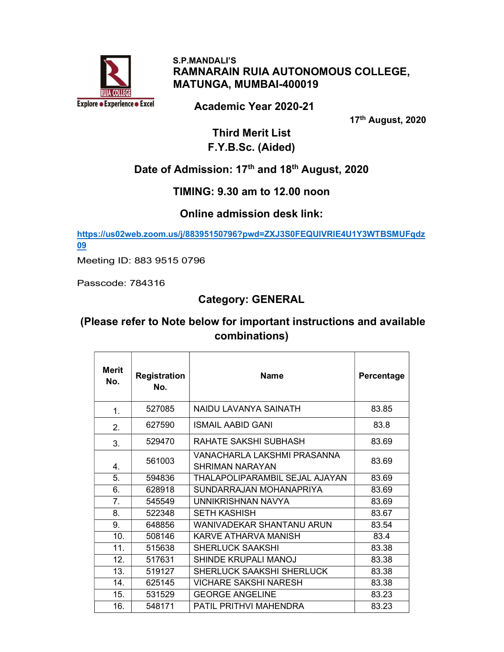

 S.P.MANDALI'S RAMNARAIN RUIA AUTONOMOUS COLLEGE, MATUNGA, MUMBAI-400019

Academic Year 2020-21

17th August, 2020

Third Merit List F.Y.B.Sc. (Aided)

# Date of Admission: 17<sup>th</sup> and 18<sup>th</sup> August, 2020

#### TIMING: 9.30 am to 12.00 noon

#### Online admission desk link:

https://us02web.zoom.us/j/88395150796?pwd=ZXJ3S0FEQUlVRlE4U1Y3WTBSMUFqdz 09

Meeting ID: 883 9515 0796

Passcode: 784316

## Category: GENERAL

## (Please refer to Note below for important instructions and available combinations)

| <b>Merit</b><br>No. | <b>Registration</b><br>No. | <b>Name</b>                                           | Percentage |
|---------------------|----------------------------|-------------------------------------------------------|------------|
| $\mathbf{1}$ .      | 527085                     | NAIDU LAVANYA SAINATH                                 | 83.85      |
| 2.                  | 627590                     | ISMAIL AABID GANI                                     | 83.8       |
| 3.                  | 529470                     | RAHATE SAKSHI SUBHASH                                 | 83.69      |
| 4.                  | 561003                     | VANACHARLA LAKSHMI PRASANNA<br><b>SHRIMAN NARAYAN</b> | 83.69      |
| 5.                  | 594836                     | THALAPOLIPARAMBIL SEJAL AJAYAN                        | 83.69      |
| 6.                  | 628918                     | SUNDARRAJAN MOHANAPRIYA                               | 83.69      |
| 7.                  | 545549                     | UNNIKRISHNAN NAVYA                                    | 83.69      |
| 8.                  | 522348                     | <b>SETH KASHISH</b>                                   | 83.67      |
| 9.                  | 648856                     | WANIVADEKAR SHANTANU ARUN                             | 83.54      |
| 10.                 | 508146                     | KARVE ATHARVA MANISH                                  | 83.4       |
| 11.                 | 515638                     | <b>SHERLUCK SAAKSHI</b>                               | 83.38      |
| 12.                 | 517631                     | <b>SHINDE KRUPALI MANOJ</b>                           | 83.38      |
| 13.                 | 519127                     | SHERLUCK SAAKSHI SHERLUCK                             | 83.38      |
| 14.                 | 625145                     | <b>VICHARE SAKSHI NARESH</b>                          | 83.38      |
| 15.                 | 531529                     | <b>GEORGE ANGELINE</b>                                | 83.23      |
| 16.                 | 548171                     | PATIL PRITHVI MAHENDRA                                | 83.23      |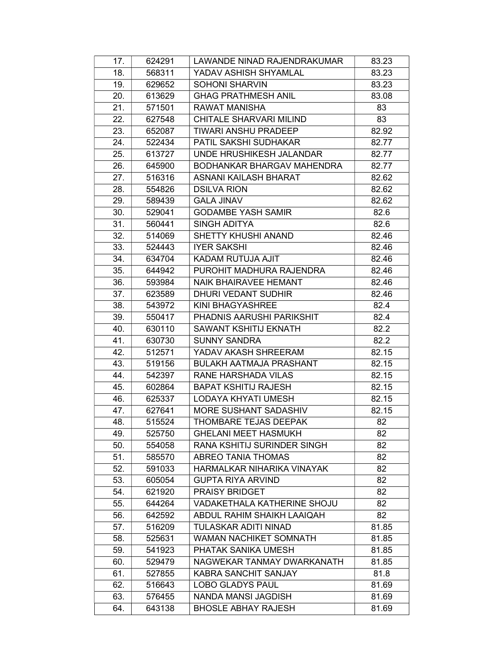| 17. | 624291 | LAWANDE NINAD RAJENDRAKUMAR       | 83.23 |
|-----|--------|-----------------------------------|-------|
| 18. | 568311 | YADAV ASHISH SHYAMLAL             | 83.23 |
| 19. | 629652 | <b>SOHONI SHARVIN</b>             | 83.23 |
| 20. | 613629 | <b>GHAG PRATHMESH ANIL</b>        | 83.08 |
| 21. | 571501 | <b>RAWAT MANISHA</b>              | 83    |
| 22. | 627548 | CHITALE SHARVARI MILIND           | 83    |
| 23. | 652087 | <b>TIWARI ANSHU PRADEEP</b>       | 82.92 |
| 24. | 522434 | PATIL SAKSHI SUDHAKAR             | 82.77 |
| 25. | 613727 | UNDE HRUSHIKESH JALANDAR          | 82.77 |
| 26. | 645900 | <b>BODHANKAR BHARGAV MAHENDRA</b> | 82.77 |
| 27. | 516316 | ASNANI KAILASH BHARAT             | 82.62 |
| 28. | 554826 | <b>DSILVA RION</b>                | 82.62 |
| 29. | 589439 | <b>GALA JINAV</b>                 | 82.62 |
| 30. | 529041 | <b>GODAMBE YASH SAMIR</b>         | 82.6  |
| 31. | 560441 | <b>SINGH ADITYA</b>               | 82.6  |
| 32. | 514069 | SHETTY KHUSHI ANAND               | 82.46 |
| 33. | 524443 | <b>IYER SAKSHI</b>                | 82.46 |
| 34. | 634704 | KADAM RUTUJA AJIT                 | 82.46 |
| 35. | 644942 | PUROHIT MADHURA RAJENDRA          | 82.46 |
| 36. | 593984 | <b>NAIK BHAIRAVEE HEMANT</b>      | 82.46 |
| 37. | 623589 | DHURI VEDANT SUDHIR               | 82.46 |
| 38. | 543972 | KINI BHAGYASHREE                  | 82.4  |
| 39. | 550417 | PHADNIS AARUSHI PARIKSHIT         | 82.4  |
| 40. | 630110 | <b>SAWANT KSHITIJ EKNATH</b>      | 82.2  |
| 41. | 630730 | <b>SUNNY SANDRA</b>               | 82.2  |
| 42. | 512571 | YADAV AKASH SHREERAM              | 82.15 |
| 43. | 519156 | <b>BULAKH AATMAJA PRASHANT</b>    | 82.15 |
| 44. | 542397 | RANE HARSHADA VILAS               | 82.15 |
| 45. | 602864 | <b>BAPAT KSHITIJ RAJESH</b>       | 82.15 |
| 46. | 625337 | LODAYA KHYATI UMESH               | 82.15 |
| 47. | 627641 | <b>MORE SUSHANT SADASHIV</b>      | 82.15 |
| 48. | 515524 | THOMBARE TEJAS DEEPAK             | 82    |
| 49. | 525750 | <b>GHELANI MEET HASMUKH</b>       | 82    |
| 50. | 554058 | RANA KSHITIJ SURINDER SINGH       | 82    |
| 51. | 585570 | ABREO TANIA THOMAS                | 82    |
| 52. | 591033 | HARMALKAR NIHARIKA VINAYAK        | 82    |
| 53. | 605054 | <b>GUPTA RIYA ARVIND</b>          | 82    |
| 54. | 621920 | <b>PRAISY BRIDGET</b>             | 82    |
| 55. | 644264 | VADAKETHALA KATHERINE SHOJU       | 82    |
| 56. | 642592 | ABDUL RAHIM SHAIKH LAAIQAH        | 82    |
| 57. | 516209 | TULASKAR ADITI NINAD              | 81.85 |
| 58. | 525631 | <b>WAMAN NACHIKET SOMNATH</b>     | 81.85 |
| 59. | 541923 | PHATAK SANIKA UMESH               | 81.85 |
| 60. | 529479 | NAGWEKAR TANMAY DWARKANATH        | 81.85 |
| 61. | 527855 | <b>KABRA SANCHIT SANJAY</b>       | 81.8  |
| 62. | 516643 | <b>LOBO GLADYS PAUL</b>           | 81.69 |
| 63. | 576455 | NANDA MANSI JAGDISH               | 81.69 |
| 64. | 643138 | <b>BHOSLE ABHAY RAJESH</b>        | 81.69 |
|     |        |                                   |       |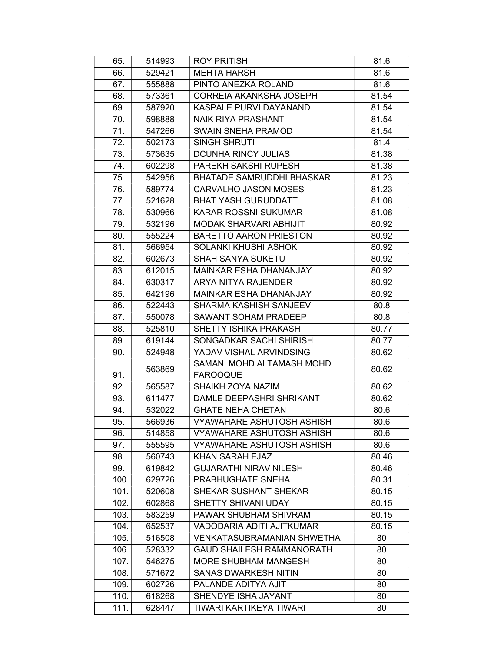| 65.  | 514993 | <b>ROY PRITISH</b>                | 81.6  |
|------|--------|-----------------------------------|-------|
| 66.  | 529421 | <b>MEHTA HARSH</b>                | 81.6  |
| 67.  | 555888 | PINTO ANEZKA ROLAND               | 81.6  |
| 68.  | 573361 | <b>CORREIA AKANKSHA JOSEPH</b>    | 81.54 |
| 69.  | 587920 | KASPALE PURVI DAYANAND            | 81.54 |
| 70.  | 598888 | <b>NAIK RIYA PRASHANT</b>         | 81.54 |
| 71.  | 547266 | SWAIN SNEHA PRAMOD                | 81.54 |
| 72.  | 502173 | <b>SINGH SHRUTI</b>               | 81.4  |
| 73.  | 573635 | <b>DCUNHA RINCY JULIAS</b>        | 81.38 |
| 74.  | 602298 | PAREKH SAKSHI RUPESH              | 81.38 |
| 75.  | 542956 | <b>BHATADE SAMRUDDHI BHASKAR</b>  | 81.23 |
| 76.  | 589774 | CARVALHO JASON MOSES              | 81.23 |
| 77.  | 521628 | <b>BHAT YASH GURUDDATT</b>        | 81.08 |
| 78.  | 530966 | <b>KARAR ROSSNI SUKUMAR</b>       | 81.08 |
| 79.  | 532196 | MODAK SHARVARI ABHIJIT            | 80.92 |
| 80.  | 555224 | <b>BARETTO AARON PRIESTON</b>     | 80.92 |
| 81.  | 566954 | SOLANKI KHUSHI ASHOK              | 80.92 |
| 82.  | 602673 | <b>SHAH SANYA SUKETU</b>          | 80.92 |
| 83.  | 612015 | MAINKAR ESHA DHANANJAY            | 80.92 |
| 84.  | 630317 | ARYA NITYA RAJENDER               | 80.92 |
| 85.  | 642196 | <b>MAINKAR ESHA DHANANJAY</b>     | 80.92 |
| 86.  | 522443 | SHARMA KASHISH SANJEEV            | 80.8  |
| 87.  | 550078 | <b>SAWANT SOHAM PRADEEP</b>       | 80.8  |
| 88.  | 525810 | SHETTY ISHIKA PRAKASH             | 80.77 |
| 89.  | 619144 | SONGADKAR SACHI SHIRISH           | 80.77 |
| 90.  | 524948 | YADAV VISHAL ARVINDSING           | 80.62 |
|      | 563869 | SAMANI MOHD ALTAMASH MOHD         | 80.62 |
| 91.  |        | <b>FAROOQUE</b>                   |       |
| 92.  | 565587 | SHAIKH ZOYA NAZIM                 | 80.62 |
| 93.  | 611477 | DAMLE DEEPASHRI SHRIKANT          | 80.62 |
| 94.  | 532022 | <b>GHATE NEHA CHETAN</b>          | 80.6  |
| 95.  | 566936 | <b>VYAWAHARE ASHUTOSH ASHISH</b>  | 80.6  |
| 96.  | 514858 | <b>VYAWAHARE ASHUTOSH ASHISH</b>  | 80.6  |
| 97.  | 555595 | <b>VYAWAHARE ASHUTOSH ASHISH</b>  | 80.6  |
| 98.  | 560743 | KHAN SARAH EJAZ                   | 80.46 |
| 99.  | 619842 | <b>GUJARATHI NIRAV NILESH</b>     | 80.46 |
| 100. | 629726 | PRABHUGHATE SNEHA                 | 80.31 |
| 101. | 520608 | SHEKAR SUSHANT SHEKAR             | 80.15 |
| 102. | 602868 | SHETTY SHIVANI UDAY               | 80.15 |
| 103. | 583259 | PAWAR SHUBHAM SHIVRAM             | 80.15 |
| 104. | 652537 | <b>VADODARIA ADITI AJITKUMAR</b>  | 80.15 |
| 105. | 516508 | <b>VENKATASUBRAMANIAN SHWETHA</b> | 80    |
| 106. | 528332 | <b>GAUD SHAILESH RAMMANORATH</b>  | 80    |
| 107. | 546275 | <b>MORE SHUBHAM MANGESH</b>       | 80    |
| 108. | 571672 | <b>SANAS DWARKESH NITIN</b>       | 80    |
| 109. | 602726 | PALANDE ADITYA AJIT               | 80    |
| 110. | 618268 | SHENDYE ISHA JAYANT               | 80    |
| 111. | 628447 | TIWARI KARTIKEYA TIWARI           | 80    |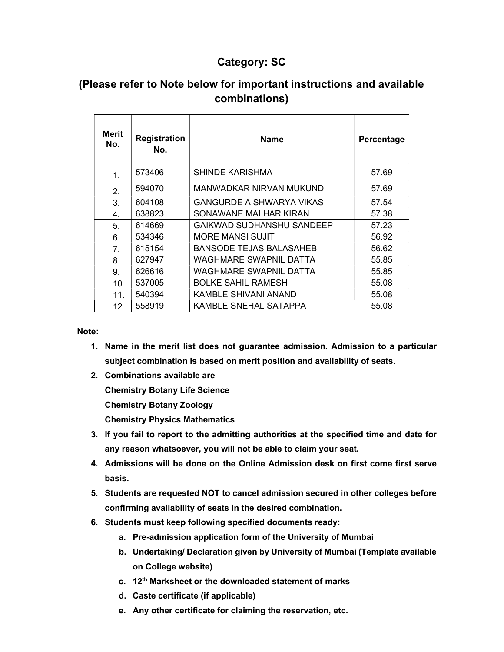#### Category: SC

## (Please refer to Note below for important instructions and available combinations)

| Merit<br>No. | <b>Registration</b><br>No. | <b>Name</b>                     | Percentage |
|--------------|----------------------------|---------------------------------|------------|
| 1.           | 573406                     | SHINDE KARISHMA                 | 57.69      |
| 2.           | 594070                     | MANWADKAR NIRVAN MUKUND         | 57.69      |
| 3.           | 604108                     | <b>GANGURDE AISHWARYA VIKAS</b> | 57.54      |
| 4.           | 638823                     | SONAWANE MALHAR KIRAN           | 57.38      |
| 5.           | 614669                     | GAIKWAD SUDHANSHU SANDEEP       | 57.23      |
| 6.           | 534346                     | <b>MORE MANSI SUJIT</b>         | 56.92      |
| 7.           | 615154                     | BANSODE TEJAS BALASAHEB         | 56.62      |
| 8.           | 627947                     | WAGHMARE SWAPNIL DATTA          | 55.85      |
| 9.           | 626616                     | WAGHMARE SWAPNIL DATTA          | 55.85      |
| 10.          | 537005                     | <b>BOLKE SAHIL RAMESH</b>       | 55.08      |
| 11.          | 540394                     | KAMBLE SHIVANI ANAND            | 55.08      |
| 12.          | 558919                     | KAMBLE SNEHAL SATAPPA           | 55.08      |

Note:

- 1. Name in the merit list does not guarantee admission. Admission to a particular subject combination is based on merit position and availability of seats.
- 2. Combinations available are

Chemistry Botany Life Science

Chemistry Botany Zoology

Chemistry Physics Mathematics

- 3. If you fail to report to the admitting authorities at the specified time and date for any reason whatsoever, you will not be able to claim your seat.
- 4. Admissions will be done on the Online Admission desk on first come first serve basis.
- 5. Students are requested NOT to cancel admission secured in other colleges before confirming availability of seats in the desired combination.
- 6. Students must keep following specified documents ready:
	- a. Pre-admission application form of the University of Mumbai
	- b. Undertaking/ Declaration given by University of Mumbai (Template available on College website)
	- c. 12<sup>th</sup> Marksheet or the downloaded statement of marks
	- d. Caste certificate (if applicable)
	- e. Any other certificate for claiming the reservation, etc.